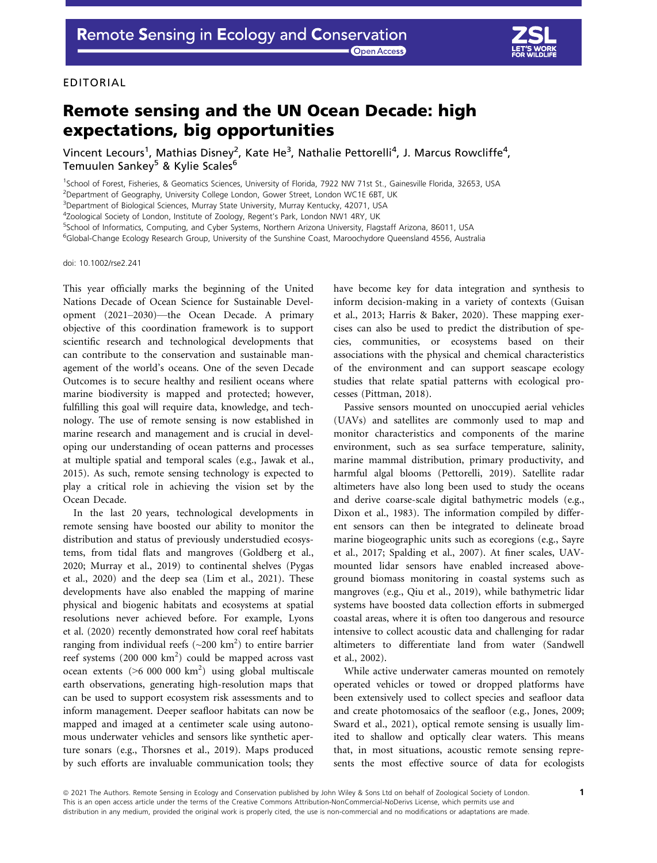Open Access



## EDITORIAL

## Remote sensing and the UN Ocean Decade: high expectations, big opportunities

Vincent Lecours<sup>1</sup>, Mathias Disney<sup>2</sup>, Kate He<sup>3</sup>, Nathalie Pettorelli<sup>4</sup>, J. Marcus Rowcliffe<sup>4</sup>, Temuulen Sankey<sup>5</sup> & Kylie Scales<sup>6</sup>

<sup>1</sup>School of Forest, Fisheries, & Geomatics Sciences, University of Florida, 7922 NW 71st St., Gainesville Florida, 32653, USA

<sup>2</sup>Department of Geography, University College London, Gower Street, London WC1E 6BT, UK

<sup>3</sup>Department of Biological Sciences, Murray State University, Murray Kentucky, 42071, USA

<sup>4</sup>Zoological Society of London, Institute of Zoology, Regent's Park, London NW1 4RY, UK

5 School of Informatics, Computing, and Cyber Systems, Northern Arizona University, Flagstaff Arizona, 86011, USA

6 Global-Change Ecology Research Group, University of the Sunshine Coast, Maroochydore Queensland 4556, Australia

doi: 10.1002/rse2.241

This year officially marks the beginning of the United Nations Decade of Ocean Science for Sustainable Development (2021–2030)—the Ocean Decade. A primary objective of this coordination framework is to support scientific research and technological developments that can contribute to the conservation and sustainable management of the world's oceans. One of the seven Decade Outcomes is to secure healthy and resilient oceans where marine biodiversity is mapped and protected; however, fulfilling this goal will require data, knowledge, and technology. The use of remote sensing is now established in marine research and management and is crucial in developing our understanding of ocean patterns and processes at multiple spatial and temporal scales (e.g., Jawak et al., 2015). As such, remote sensing technology is expected to play a critical role in achieving the vision set by the Ocean Decade.

In the last 20 years, technological developments in remote sensing have boosted our ability to monitor the distribution and status of previously understudied ecosystems, from tidal flats and mangroves (Goldberg et al., 2020; Murray et al., 2019) to continental shelves (Pygas et al., 2020) and the deep sea (Lim et al., 2021). These developments have also enabled the mapping of marine physical and biogenic habitats and ecosystems at spatial resolutions never achieved before. For example, Lyons et al. (2020) recently demonstrated how coral reef habitats ranging from individual reefs ( $\sim$ 200 km<sup>2</sup>) to entire barrier reef systems (200 000 km<sup>2</sup>) could be mapped across vast ocean extents ( $>6000000 \text{ km}^2$ ) using global multiscale earth observations, generating high-resolution maps that can be used to support ecosystem risk assessments and to inform management. Deeper seafloor habitats can now be mapped and imaged at a centimeter scale using autonomous underwater vehicles and sensors like synthetic aperture sonars (e.g., Thorsnes et al., 2019). Maps produced by such efforts are invaluable communication tools; they have become key for data integration and synthesis to inform decision-making in a variety of contexts (Guisan et al., 2013; Harris & Baker, 2020). These mapping exercises can also be used to predict the distribution of species, communities, or ecosystems based on their associations with the physical and chemical characteristics of the environment and can support seascape ecology studies that relate spatial patterns with ecological processes (Pittman, 2018).

Passive sensors mounted on unoccupied aerial vehicles (UAVs) and satellites are commonly used to map and monitor characteristics and components of the marine environment, such as sea surface temperature, salinity, marine mammal distribution, primary productivity, and harmful algal blooms (Pettorelli, 2019). Satellite radar altimeters have also long been used to study the oceans and derive coarse-scale digital bathymetric models (e.g., Dixon et al., 1983). The information compiled by different sensors can then be integrated to delineate broad marine biogeographic units such as ecoregions (e.g., Sayre et al., 2017; Spalding et al., 2007). At finer scales, UAVmounted lidar sensors have enabled increased aboveground biomass monitoring in coastal systems such as mangroves (e.g., Qiu et al., 2019), while bathymetric lidar systems have boosted data collection efforts in submerged coastal areas, where it is often too dangerous and resource intensive to collect acoustic data and challenging for radar altimeters to differentiate land from water (Sandwell et al., 2002).

While active underwater cameras mounted on remotely operated vehicles or towed or dropped platforms have been extensively used to collect species and seafloor data and create photomosaics of the seafloor (e.g., Jones, 2009; Sward et al., 2021), optical remote sensing is usually limited to shallow and optically clear waters. This means that, in most situations, acoustic remote sensing represents the most effective source of data for ecologists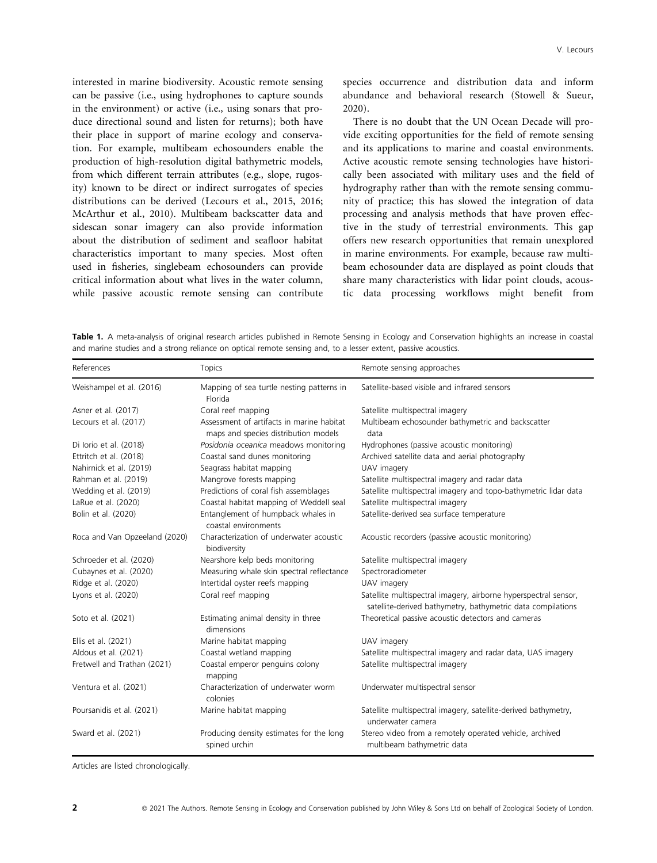interested in marine biodiversity. Acoustic remote sensing can be passive (i.e., using hydrophones to capture sounds in the environment) or active (i.e., using sonars that produce directional sound and listen for returns); both have their place in support of marine ecology and conservation. For example, multibeam echosounders enable the production of high-resolution digital bathymetric models, from which different terrain attributes (e.g., slope, rugosity) known to be direct or indirect surrogates of species distributions can be derived (Lecours et al., 2015, 2016; McArthur et al., 2010). Multibeam backscatter data and sidescan sonar imagery can also provide information about the distribution of sediment and seafloor habitat characteristics important to many species. Most often used in fisheries, singlebeam echosounders can provide critical information about what lives in the water column, while passive acoustic remote sensing can contribute species occurrence and distribution data and inform abundance and behavioral research (Stowell & Sueur, 2020).

There is no doubt that the UN Ocean Decade will provide exciting opportunities for the field of remote sensing and its applications to marine and coastal environments. Active acoustic remote sensing technologies have historically been associated with military uses and the field of hydrography rather than with the remote sensing community of practice; this has slowed the integration of data processing and analysis methods that have proven effective in the study of terrestrial environments. This gap offers new research opportunities that remain unexplored in marine environments. For example, because raw multibeam echosounder data are displayed as point clouds that share many characteristics with lidar point clouds, acoustic data processing workflows might benefit from

Table 1. A meta-analysis of original research articles published in Remote Sensing in Ecology and Conservation highlights an increase in coastal and marine studies and a strong reliance on optical remote sensing and, to a lesser extent, passive acoustics.

| References                    | <b>Topics</b>                                                                     | Remote sensing approaches                                                                                                      |
|-------------------------------|-----------------------------------------------------------------------------------|--------------------------------------------------------------------------------------------------------------------------------|
| Weishampel et al. (2016)      | Mapping of sea turtle nesting patterns in<br>Florida                              | Satellite-based visible and infrared sensors                                                                                   |
| Asner et al. (2017)           | Coral reef mapping                                                                | Satellite multispectral imagery                                                                                                |
| Lecours et al. (2017)         | Assessment of artifacts in marine habitat<br>maps and species distribution models | Multibeam echosounder bathymetric and backscatter<br>data                                                                      |
| Di lorio et al. (2018)        | Posidonia oceanica meadows monitoring                                             | Hydrophones (passive acoustic monitoring)                                                                                      |
| Ettritch et al. (2018)        | Coastal sand dunes monitoring                                                     | Archived satellite data and aerial photography                                                                                 |
| Nahirnick et al. (2019)       | Seagrass habitat mapping                                                          | UAV imagery                                                                                                                    |
| Rahman et al. (2019)          | Mangrove forests mapping                                                          | Satellite multispectral imagery and radar data                                                                                 |
| Wedding et al. (2019)         | Predictions of coral fish assemblages                                             | Satellite multispectral imagery and topo-bathymetric lidar data                                                                |
| LaRue et al. (2020)           | Coastal habitat mapping of Weddell seal                                           | Satellite multispectral imagery                                                                                                |
| Bolin et al. (2020)           | Entanglement of humpback whales in<br>coastal environments                        | Satellite-derived sea surface temperature                                                                                      |
| Roca and Van Opzeeland (2020) | Characterization of underwater acoustic<br>biodiversity                           | Acoustic recorders (passive acoustic monitoring)                                                                               |
| Schroeder et al. (2020)       | Nearshore kelp beds monitoring                                                    | Satellite multispectral imagery                                                                                                |
| Cubaynes et al. (2020)        | Measuring whale skin spectral reflectance                                         | Spectroradiometer                                                                                                              |
| Ridge et al. (2020)           | Intertidal oyster reefs mapping                                                   | UAV imagery                                                                                                                    |
| Lyons et al. (2020)           | Coral reef mapping                                                                | Satellite multispectral imagery, airborne hyperspectral sensor,<br>satellite-derived bathymetry, bathymetric data compilations |
| Soto et al. (2021)            | Estimating animal density in three<br>dimensions                                  | Theoretical passive acoustic detectors and cameras                                                                             |
| Ellis et al. (2021)           | Marine habitat mapping                                                            | UAV imagery                                                                                                                    |
| Aldous et al. (2021)          | Coastal wetland mapping                                                           | Satellite multispectral imagery and radar data, UAS imagery                                                                    |
| Fretwell and Trathan (2021)   | Coastal emperor penguins colony<br>mapping                                        | Satellite multispectral imagery                                                                                                |
| Ventura et al. (2021)         | Characterization of underwater worm<br>colonies                                   | Underwater multispectral sensor                                                                                                |
| Poursanidis et al. (2021)     | Marine habitat mapping                                                            | Satellite multispectral imagery, satellite-derived bathymetry,<br>underwater camera                                            |
| Sward et al. (2021)           | Producing density estimates for the long<br>spined urchin                         | Stereo video from a remotely operated vehicle, archived<br>multibeam bathymetric data                                          |

Articles are listed chronologically.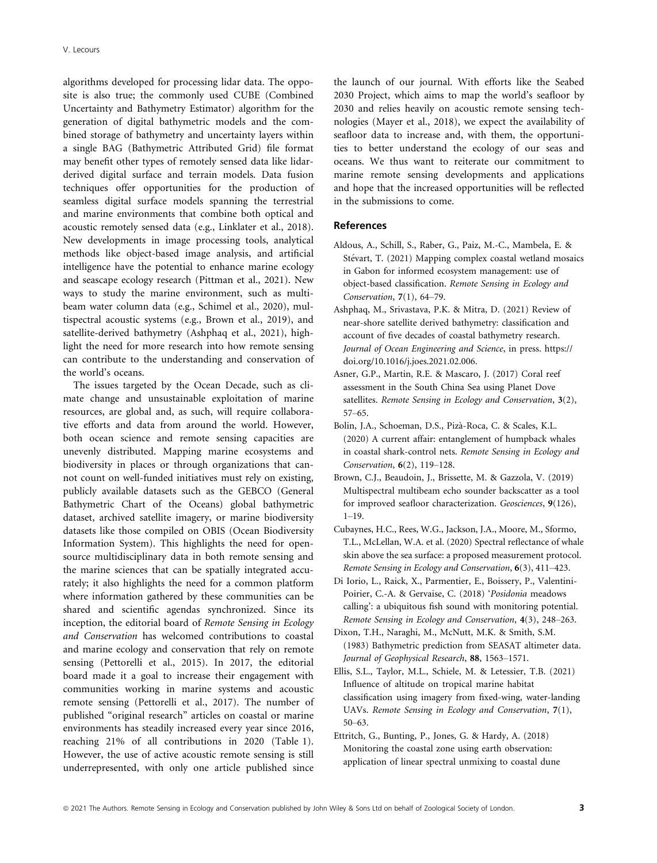algorithms developed for processing lidar data. The opposite is also true; the commonly used CUBE (Combined Uncertainty and Bathymetry Estimator) algorithm for the generation of digital bathymetric models and the combined storage of bathymetry and uncertainty layers within a single BAG (Bathymetric Attributed Grid) file format may benefit other types of remotely sensed data like lidarderived digital surface and terrain models. Data fusion techniques offer opportunities for the production of seamless digital surface models spanning the terrestrial and marine environments that combine both optical and acoustic remotely sensed data (e.g., Linklater et al., 2018). New developments in image processing tools, analytical methods like object-based image analysis, and artificial intelligence have the potential to enhance marine ecology and seascape ecology research (Pittman et al., 2021). New ways to study the marine environment, such as multibeam water column data (e.g., Schimel et al., 2020), multispectral acoustic systems (e.g., Brown et al., 2019), and satellite-derived bathymetry (Ashphaq et al., 2021), highlight the need for more research into how remote sensing can contribute to the understanding and conservation of the world's oceans.

The issues targeted by the Ocean Decade, such as climate change and unsustainable exploitation of marine resources, are global and, as such, will require collaborative efforts and data from around the world. However, both ocean science and remote sensing capacities are unevenly distributed. Mapping marine ecosystems and biodiversity in places or through organizations that cannot count on well-funded initiatives must rely on existing, publicly available datasets such as the GEBCO (General Bathymetric Chart of the Oceans) global bathymetric dataset, archived satellite imagery, or marine biodiversity datasets like those compiled on OBIS (Ocean Biodiversity Information System). This highlights the need for opensource multidisciplinary data in both remote sensing and the marine sciences that can be spatially integrated accurately; it also highlights the need for a common platform where information gathered by these communities can be shared and scientific agendas synchronized. Since its inception, the editorial board of Remote Sensing in Ecology and Conservation has welcomed contributions to coastal and marine ecology and conservation that rely on remote sensing (Pettorelli et al., 2015). In 2017, the editorial board made it a goal to increase their engagement with communities working in marine systems and acoustic remote sensing (Pettorelli et al., 2017). The number of published "original research" articles on coastal or marine environments has steadily increased every year since 2016, reaching 21% of all contributions in 2020 (Table 1). However, the use of active acoustic remote sensing is still underrepresented, with only one article published since the launch of our journal. With efforts like the Seabed 2030 Project, which aims to map the world's seafloor by 2030 and relies heavily on acoustic remote sensing technologies (Mayer et al., 2018), we expect the availability of seafloor data to increase and, with them, the opportunities to better understand the ecology of our seas and oceans. We thus want to reiterate our commitment to marine remote sensing developments and applications and hope that the increased opportunities will be reflected in the submissions to come.

## References

- Aldous, A., Schill, S., Raber, G., Paiz, M.-C., Mambela, E. & Stévart, T. (2021) Mapping complex coastal wetland mosaics in Gabon for informed ecosystem management: use of object-based classification. Remote Sensing in Ecology and Conservation, 7(1), 64–79.
- Ashphaq, M., Srivastava, P.K. & Mitra, D. (2021) Review of near-shore satellite derived bathymetry: classification and account of five decades of coastal bathymetry research. Journal of Ocean Engineering and Science, in press. [https://](https://doi.org/10.1016/j.joes.2021.02.006) [doi.org/10.1016/j.joes.2021.02.006.](https://doi.org/10.1016/j.joes.2021.02.006)
- Asner, G.P., Martin, R.E. & Mascaro, J. (2017) Coral reef assessment in the South China Sea using Planet Dove satellites. Remote Sensing in Ecology and Conservation, 3(2), 57–65.
- Bolin, J.A., Schoeman, D.S., Piza-Roca, C. & Scales, K.L. (2020) A current affair: entanglement of humpback whales in coastal shark-control nets. Remote Sensing in Ecology and Conservation, 6(2), 119–128.
- Brown, C.J., Beaudoin, J., Brissette, M. & Gazzola, V. (2019) Multispectral multibeam echo sounder backscatter as a tool for improved seafloor characterization. Geosciences, 9(126), 1–19.
- Cubaynes, H.C., Rees, W.G., Jackson, J.A., Moore, M., Sformo, T.L., McLellan, W.A. et al. (2020) Spectral reflectance of whale skin above the sea surface: a proposed measurement protocol. Remote Sensing in Ecology and Conservation, 6(3), 411–423.
- Di Iorio, L., Raick, X., Parmentier, E., Boissery, P., Valentini-Poirier, C.-A. & Gervaise, C. (2018) 'Posidonia meadows calling': a ubiquitous fish sound with monitoring potential. Remote Sensing in Ecology and Conservation, 4(3), 248–263.
- Dixon, T.H., Naraghi, M., McNutt, M.K. & Smith, S.M. (1983) Bathymetric prediction from SEASAT altimeter data. Journal of Geophysical Research, 88, 1563–1571.
- Ellis, S.L., Taylor, M.L., Schiele, M. & Letessier, T.B. (2021) Influence of altitude on tropical marine habitat classification using imagery from fixed-wing, water-landing UAVs. Remote Sensing in Ecology and Conservation, 7(1), 50–63.
- Ettritch, G., Bunting, P., Jones, G. & Hardy, A. (2018) Monitoring the coastal zone using earth observation: application of linear spectral unmixing to coastal dune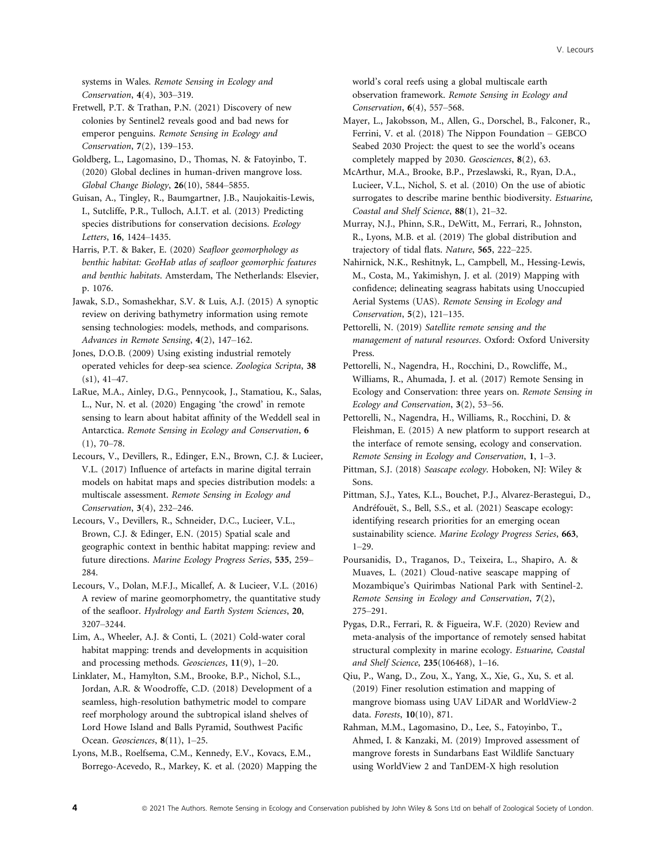systems in Wales. Remote Sensing in Ecology and Conservation, 4(4), 303–319.

Fretwell, P.T. & Trathan, P.N. (2021) Discovery of new colonies by Sentinel2 reveals good and bad news for emperor penguins. Remote Sensing in Ecology and Conservation, 7(2), 139–153.

Goldberg, L., Lagomasino, D., Thomas, N. & Fatoyinbo, T. (2020) Global declines in human-driven mangrove loss. Global Change Biology, 26(10), 5844–5855.

Guisan, A., Tingley, R., Baumgartner, J.B., Naujokaitis-Lewis, I., Sutcliffe, P.R., Tulloch, A.I.T. et al. (2013) Predicting species distributions for conservation decisions. Ecology Letters, 16, 1424–1435.

Harris, P.T. & Baker, E. (2020) Seafloor geomorphology as benthic habitat: GeoHab atlas of seafloor geomorphic features and benthic habitats. Amsterdam, The Netherlands: Elsevier, p. 1076.

Jawak, S.D., Somashekhar, S.V. & Luis, A.J. (2015) A synoptic review on deriving bathymetry information using remote sensing technologies: models, methods, and comparisons. Advances in Remote Sensing, 4(2), 147–162.

Jones, D.O.B. (2009) Using existing industrial remotely operated vehicles for deep-sea science. Zoologica Scripta, 38  $(s1), 41-47.$ 

LaRue, M.A., Ainley, D.G., Pennycook, J., Stamatiou, K., Salas, L., Nur, N. et al. (2020) Engaging 'the crowd' in remote sensing to learn about habitat affinity of the Weddell seal in Antarctica. Remote Sensing in Ecology and Conservation, 6  $(1), 70-78.$ 

Lecours, V., Devillers, R., Edinger, E.N., Brown, C.J. & Lucieer, V.L. (2017) Influence of artefacts in marine digital terrain models on habitat maps and species distribution models: a multiscale assessment. Remote Sensing in Ecology and Conservation, 3(4), 232–246.

Lecours, V., Devillers, R., Schneider, D.C., Lucieer, V.L., Brown, C.J. & Edinger, E.N. (2015) Spatial scale and geographic context in benthic habitat mapping: review and future directions. Marine Ecology Progress Series, 535, 259– 284.

Lecours, V., Dolan, M.F.J., Micallef, A. & Lucieer, V.L. (2016) A review of marine geomorphometry, the quantitative study of the seafloor. Hydrology and Earth System Sciences, 20, 3207–3244.

Lim, A., Wheeler, A.J. & Conti, L. (2021) Cold-water coral habitat mapping: trends and developments in acquisition and processing methods. Geosciences, 11(9), 1–20.

Linklater, M., Hamylton, S.M., Brooke, B.P., Nichol, S.L., Jordan, A.R. & Woodroffe, C.D. (2018) Development of a seamless, high-resolution bathymetric model to compare reef morphology around the subtropical island shelves of Lord Howe Island and Balls Pyramid, Southwest Pacific Ocean. Geosciences, 8(11), 1-25.

Lyons, M.B., Roelfsema, C.M., Kennedy, E.V., Kovacs, E.M., Borrego-Acevedo, R., Markey, K. et al. (2020) Mapping the world's coral reefs using a global multiscale earth observation framework. Remote Sensing in Ecology and Conservation, 6(4), 557–568.

Mayer, L., Jakobsson, M., Allen, G., Dorschel, B., Falconer, R., Ferrini, V. et al. (2018) The Nippon Foundation – GEBCO Seabed 2030 Project: the quest to see the world's oceans completely mapped by 2030. Geosciences, 8(2), 63.

McArthur, M.A., Brooke, B.P., Przeslawski, R., Ryan, D.A., Lucieer, V.L., Nichol, S. et al. (2010) On the use of abiotic surrogates to describe marine benthic biodiversity. Estuarine, Coastal and Shelf Science, 88(1), 21–32.

Murray, N.J., Phinn, S.R., DeWitt, M., Ferrari, R., Johnston, R., Lyons, M.B. et al. (2019) The global distribution and trajectory of tidal flats. Nature, 565, 222–225.

Nahirnick, N.K., Reshitnyk, L., Campbell, M., Hessing-Lewis, M., Costa, M., Yakimishyn, J. et al. (2019) Mapping with confidence; delineating seagrass habitats using Unoccupied Aerial Systems (UAS). Remote Sensing in Ecology and Conservation, 5(2), 121–135.

Pettorelli, N. (2019) Satellite remote sensing and the management of natural resources. Oxford: Oxford University Press.

Pettorelli, N., Nagendra, H., Rocchini, D., Rowcliffe, M., Williams, R., Ahumada, J. et al. (2017) Remote Sensing in Ecology and Conservation: three years on. Remote Sensing in Ecology and Conservation, 3(2), 53–56.

Pettorelli, N., Nagendra, H., Williams, R., Rocchini, D. & Fleishman, E. (2015) A new platform to support research at the interface of remote sensing, ecology and conservation. Remote Sensing in Ecology and Conservation, 1, 1–3.

Pittman, S.J. (2018) Seascape ecology. Hoboken, NJ: Wiley & Sons.

Pittman, S.J., Yates, K.L., Bouchet, P.J., Alvarez-Berastegui, D., Andréfouët, S., Bell, S.S., et al. (2021) Seascape ecology: identifying research priorities for an emerging ocean sustainability science. Marine Ecology Progress Series, 663, 1–29.

Poursanidis, D., Traganos, D., Teixeira, L., Shapiro, A. & Muaves, L. (2021) Cloud-native seascape mapping of Mozambique's Quirimbas National Park with Sentinel-2. Remote Sensing in Ecology and Conservation, 7(2), 275–291.

Pygas, D.R., Ferrari, R. & Figueira, W.F. (2020) Review and meta-analysis of the importance of remotely sensed habitat structural complexity in marine ecology. Estuarine, Coastal and Shelf Science, 235(106468), 1–16.

Qiu, P., Wang, D., Zou, X., Yang, X., Xie, G., Xu, S. et al. (2019) Finer resolution estimation and mapping of mangrove biomass using UAV LiDAR and WorldView-2 data. Forests, 10(10), 871.

Rahman, M.M., Lagomasino, D., Lee, S., Fatoyinbo, T., Ahmed, I. & Kanzaki, M. (2019) Improved assessment of mangrove forests in Sundarbans East Wildlife Sanctuary using WorldView 2 and TanDEM-X high resolution